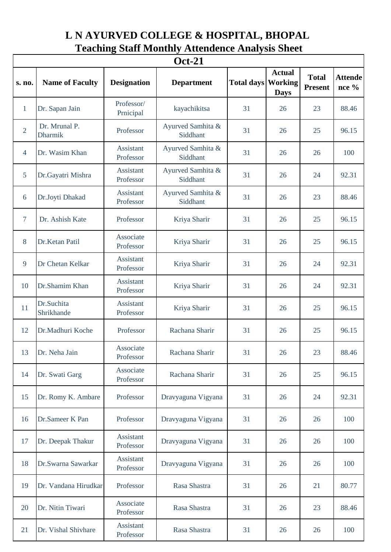## **L N AYURVED COLLEGE & HOSPITAL, BHOPAL Teaching Staff Monthly Attendence Analysis Sheet**

| <b>Oct-21</b>   |                          |                               |                               |                   |                                                |                                |                         |  |
|-----------------|--------------------------|-------------------------------|-------------------------------|-------------------|------------------------------------------------|--------------------------------|-------------------------|--|
| s. no.          | <b>Name of Faculty</b>   | <b>Designation</b>            | <b>Department</b>             | <b>Total days</b> | <b>Actual</b><br><b>Working</b><br><b>Days</b> | <b>Total</b><br><b>Present</b> | <b>Attende</b><br>nce % |  |
| $\mathbf{1}$    | Dr. Sapan Jain           | Professor/<br>Prnicipal       | kayachikitsa                  | 31                | 26                                             | 23                             | 88.46                   |  |
| $\overline{2}$  | Dr. Mrunal P.<br>Dharmik | Professor                     | Ayurved Samhita &<br>Siddhant | 31                | 26                                             | 25                             | 96.15                   |  |
| $\overline{4}$  | Dr. Wasim Khan           | <b>Assistant</b><br>Professor | Ayurved Samhita &<br>Siddhant | 31                | 26                                             | 26                             | 100                     |  |
| $5\overline{)}$ | Dr.Gayatri Mishra        | <b>Assistant</b><br>Professor | Ayurved Samhita &<br>Siddhant | 31                | 26                                             | 24                             | 92.31                   |  |
| 6               | Dr.Joyti Dhakad          | <b>Assistant</b><br>Professor | Ayurved Samhita &<br>Siddhant | 31                | 26                                             | 23                             | 88.46                   |  |
| $\overline{7}$  | Dr. Ashish Kate          | Professor                     | Kriya Sharir                  | 31                | 26                                             | 25                             | 96.15                   |  |
| 8               | Dr.Ketan Patil           | Associate<br>Professor        | Kriya Sharir                  | 31                | 26                                             | 25                             | 96.15                   |  |
| 9               | Dr Chetan Kelkar         | <b>Assistant</b><br>Professor | Kriya Sharir                  | 31                | 26                                             | 24                             | 92.31                   |  |
| 10              | Dr.Shamim Khan           | <b>Assistant</b><br>Professor | Kriya Sharir                  | 31                | 26                                             | 24                             | 92.31                   |  |
| 11              | Dr.Suchita<br>Shrikhande | <b>Assistant</b><br>Professor | Kriya Sharir                  | 31                | 26                                             | 25                             | 96.15                   |  |
| 12              | Dr.Madhuri Koche         | Professor                     | Rachana Sharir                | 31                | 26                                             | 25                             | 96.15                   |  |
| 13              | Dr. Neha Jain            | Associate<br>Professor        | Rachana Sharir                | 31                | 26                                             | 23                             | 88.46                   |  |
| 14              | Dr. Swati Garg           | Associate<br>Professor        | Rachana Sharir                | 31                | 26                                             | 25                             | 96.15                   |  |
| 15              | Dr. Romy K. Ambare       | Professor                     | Dravyaguna Vigyana            | 31                | 26                                             | 24                             | 92.31                   |  |
| 16              | Dr.Sameer K Pan          | Professor                     | Dravyaguna Vigyana            | 31                | 26                                             | 26                             | 100                     |  |
| 17              | Dr. Deepak Thakur        | <b>Assistant</b><br>Professor | Dravyaguna Vigyana            | 31                | 26                                             | 26                             | 100                     |  |
| 18              | Dr.Swarna Sawarkar       | <b>Assistant</b><br>Professor | Dravyaguna Vigyana            | 31                | 26                                             | 26                             | 100                     |  |
| 19              | Dr. Vandana Hirudkar     | Professor                     | Rasa Shastra                  | 31                | 26                                             | 21                             | 80.77                   |  |
| 20              | Dr. Nitin Tiwari         | Associate<br>Professor        | Rasa Shastra                  | 31                | 26                                             | 23                             | 88.46                   |  |
| 21              | Dr. Vishal Shivhare      | <b>Assistant</b><br>Professor | Rasa Shastra                  | 31                | 26                                             | 26                             | 100                     |  |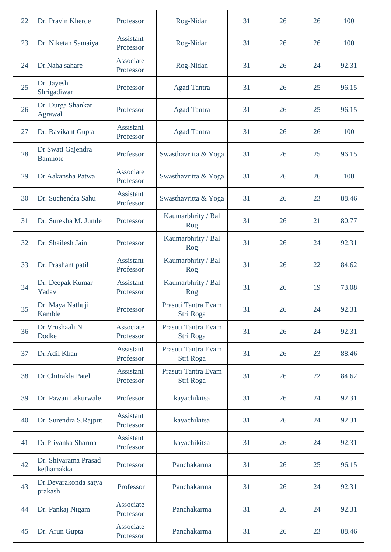| 22 | Dr. Pravin Kherde                   | Professor                     | Rog-Nidan                        | 31 | 26 | 26 | 100   |
|----|-------------------------------------|-------------------------------|----------------------------------|----|----|----|-------|
| 23 | Dr. Niketan Samaiya                 | Assistant<br>Professor        | Rog-Nidan                        | 31 | 26 | 26 | 100   |
| 24 | Dr.Naha sahare                      | Associate<br>Professor        | Rog-Nidan                        | 31 | 26 | 24 | 92.31 |
| 25 | Dr. Jayesh<br>Shrigadiwar           | Professor                     | <b>Agad Tantra</b>               | 31 | 26 | 25 | 96.15 |
| 26 | Dr. Durga Shankar<br>Agrawal        | Professor                     | <b>Agad Tantra</b>               | 31 | 26 | 25 | 96.15 |
| 27 | Dr. Ravikant Gupta                  | <b>Assistant</b><br>Professor | <b>Agad Tantra</b>               | 31 | 26 | 26 | 100   |
| 28 | Dr Swati Gajendra<br><b>Bamnote</b> | Professor                     | Swasthavritta & Yoga             | 31 | 26 | 25 | 96.15 |
| 29 | Dr. Aakansha Patwa                  | Associate<br>Professor        | Swasthavritta & Yoga             | 31 | 26 | 26 | 100   |
| 30 | Dr. Suchendra Sahu                  | <b>Assistant</b><br>Professor | Swasthavritta & Yoga             | 31 | 26 | 23 | 88.46 |
| 31 | Dr. Surekha M. Jumle                | Professor                     | Kaumarbhrity / Bal<br>Rog        | 31 | 26 | 21 | 80.77 |
| 32 | Dr. Shailesh Jain                   | Professor                     | Kaumarbhrity / Bal<br>Rog        | 31 | 26 | 24 | 92.31 |
| 33 | Dr. Prashant patil                  | <b>Assistant</b><br>Professor | Kaumarbhrity / Bal<br>Rog        | 31 | 26 | 22 | 84.62 |
| 34 | Dr. Deepak Kumar<br>Yadav           | Assistant<br>Professor        | Kaumarbhrity / Bal<br>Rog        | 31 | 26 | 19 | 73.08 |
| 35 | Dr. Maya Nathuji<br>Kamble          | Professor                     | Prasuti Tantra Evam<br>Stri Roga | 31 | 26 | 24 | 92.31 |
| 36 | Dr. Vrushaali N<br>Dodke            | Associate<br>Professor        | Prasuti Tantra Evam<br>Stri Roga | 31 | 26 | 24 | 92.31 |
| 37 | Dr.Adil Khan                        | Assistant<br>Professor        | Prasuti Tantra Evam<br>Stri Roga | 31 | 26 | 23 | 88.46 |
| 38 | Dr.Chitrakla Patel                  | Assistant<br>Professor        | Prasuti Tantra Evam<br>Stri Roga | 31 | 26 | 22 | 84.62 |
| 39 | Dr. Pawan Lekurwale                 | Professor                     | kayachikitsa                     | 31 | 26 | 24 | 92.31 |
| 40 | Dr. Surendra S.Rajput               | <b>Assistant</b><br>Professor | kayachikitsa                     | 31 | 26 | 24 | 92.31 |
| 41 | Dr.Priyanka Sharma                  | <b>Assistant</b><br>Professor | kayachikitsa                     | 31 | 26 | 24 | 92.31 |
| 42 | Dr. Shivarama Prasad<br>kethamakka  | Professor                     | Panchakarma                      | 31 | 26 | 25 | 96.15 |
| 43 | Dr.Devarakonda satya<br>prakash     | Professor                     | Panchakarma                      | 31 | 26 | 24 | 92.31 |
| 44 | Dr. Pankaj Nigam                    | Associate<br>Professor        | Panchakarma                      | 31 | 26 | 24 | 92.31 |
| 45 | Dr. Arun Gupta                      | Associate<br>Professor        | Panchakarma                      | 31 | 26 | 23 | 88.46 |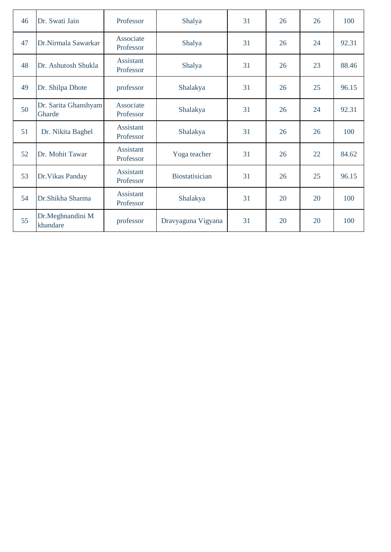| 46 | Dr. Swati Jain                 | Professor                     | Shalya                | 31 | 26 | 26 | 100   |
|----|--------------------------------|-------------------------------|-----------------------|----|----|----|-------|
| 47 | Dr.Nirmala Sawarkar            | Associate<br>Professor        | Shalya                | 31 | 26 | 24 | 92.31 |
| 48 | Dr. Ashutosh Shukla            | Assistant<br>Professor        | Shalya                | 31 | 26 | 23 | 88.46 |
| 49 | Dr. Shilpa Dhote               | professor                     | Shalakya              | 31 | 26 | 25 | 96.15 |
| 50 | Dr. Sarita Ghanshyam<br>Gharde | Associate<br>Professor        | Shalakya              | 31 | 26 | 24 | 92.31 |
| 51 | Dr. Nikita Baghel              | Assistant<br>Professor        | Shalakya              | 31 | 26 | 26 | 100   |
| 52 | Dr. Mohit Tawar                | <b>Assistant</b><br>Professor | Yoga teacher          | 31 | 26 | 22 | 84.62 |
| 53 | Dr. Vikas Panday               | Assistant<br>Professor        | <b>Biostatisician</b> | 31 | 26 | 25 | 96.15 |
| 54 | Dr.Shikha Sharma               | Assistant<br>Professor        | Shalakya              | 31 | 20 | 20 | 100   |
| 55 | Dr.Meghnandini M<br>khandare   | professor                     | Dravyaguna Vigyana    | 31 | 20 | 20 | 100   |